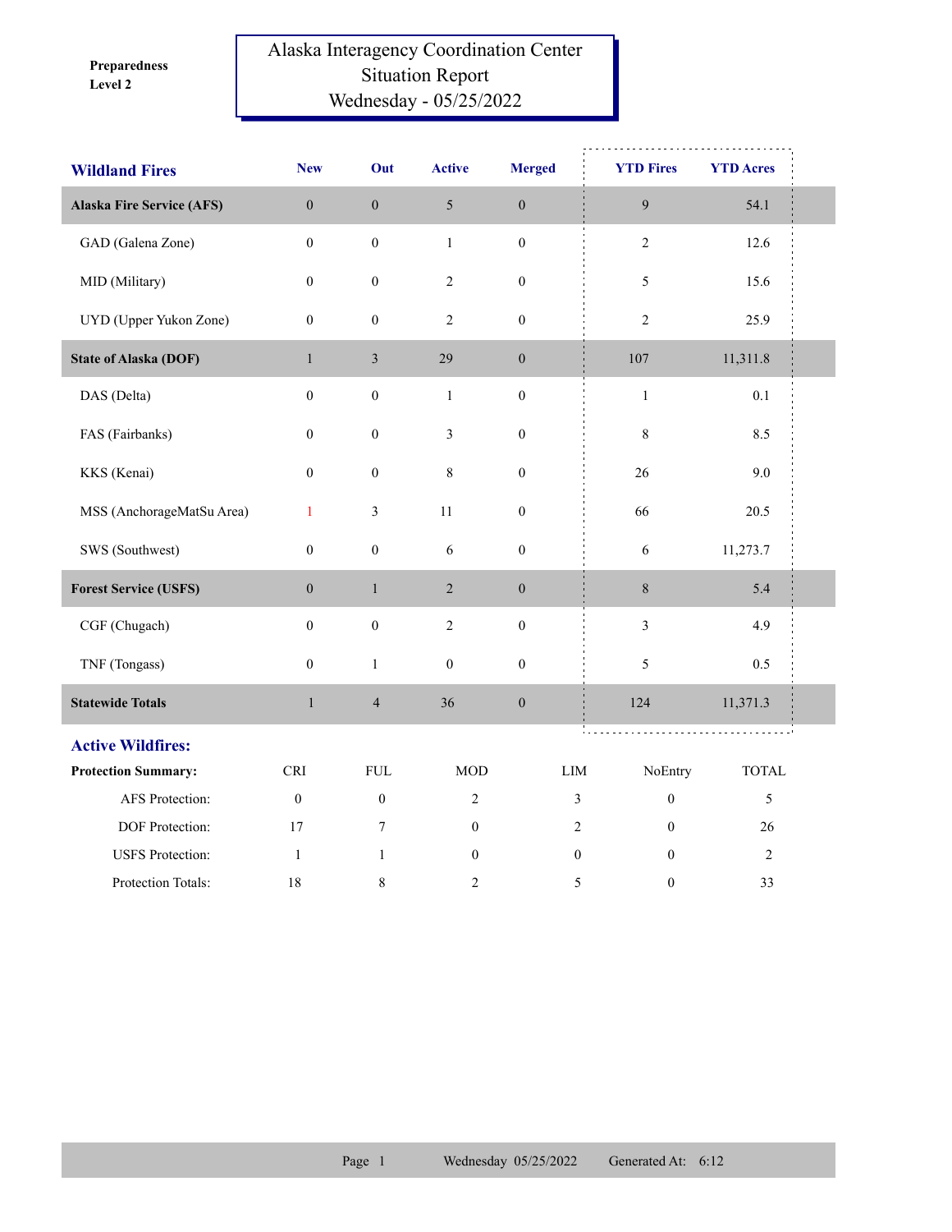**Level 2 Preparedness** 

## Alaska Interagency Coordination Center Situation Report Wednesday - 05/25/2022

| <b>Wildland Fires</b>            | <b>New</b>       | Out              | <b>Active</b>    | <b>Merged</b>    | <b>YTD Fires</b>                       | <b>YTD Acres</b> |  |
|----------------------------------|------------------|------------------|------------------|------------------|----------------------------------------|------------------|--|
| <b>Alaska Fire Service (AFS)</b> | $\boldsymbol{0}$ | $\boldsymbol{0}$ | 5                | $\boldsymbol{0}$ | $\boldsymbol{9}$                       | 54.1             |  |
| GAD (Galena Zone)                | $\boldsymbol{0}$ | $\boldsymbol{0}$ | $\mathbf{1}$     | $\boldsymbol{0}$ | $\sqrt{2}$                             | 12.6             |  |
| MID (Military)                   | $\boldsymbol{0}$ | $\boldsymbol{0}$ | $\overline{c}$   | $\boldsymbol{0}$ | 5                                      | 15.6             |  |
| UYD (Upper Yukon Zone)           | $\boldsymbol{0}$ | $\boldsymbol{0}$ | 2                | $\boldsymbol{0}$ | $\sqrt{2}$                             | 25.9             |  |
| <b>State of Alaska (DOF)</b>     | $\mathbf{1}$     | $\mathfrak{Z}$   | 29               | $\boldsymbol{0}$ | 107                                    | 11,311.8         |  |
| DAS (Delta)                      | $\boldsymbol{0}$ | $\boldsymbol{0}$ | $\mathbf{1}$     | $\boldsymbol{0}$ | $\,1\,$                                | 0.1              |  |
| FAS (Fairbanks)                  | $\mathbf{0}$     | $\boldsymbol{0}$ | 3                | $\boldsymbol{0}$ | $\,$ $\,$                              | 8.5              |  |
| KKS (Kenai)                      | $\boldsymbol{0}$ | $\boldsymbol{0}$ | 8                | $\boldsymbol{0}$ | 26                                     | 9.0              |  |
| MSS (AnchorageMatSu Area)        | $\mathbf{1}$     | $\mathfrak{Z}$   | 11               | $\boldsymbol{0}$ | 66                                     | 20.5             |  |
| SWS (Southwest)                  | $\boldsymbol{0}$ | $\boldsymbol{0}$ | 6                | $\boldsymbol{0}$ | 6                                      | 11,273.7         |  |
| <b>Forest Service (USFS)</b>     | $\boldsymbol{0}$ | $\,1$            | $\sqrt{2}$       | $\boldsymbol{0}$ | $8\,$                                  | 5.4              |  |
| CGF (Chugach)                    | $\mathbf{0}$     | $\boldsymbol{0}$ | $\sqrt{2}$       | $\boldsymbol{0}$ | $\mathfrak{Z}$                         | 4.9              |  |
| TNF (Tongass)                    | $\boldsymbol{0}$ | $\mathbf{1}$     | $\boldsymbol{0}$ | $\boldsymbol{0}$ | 5                                      | 0.5              |  |
| <b>Statewide Totals</b>          | $\mathbf{1}$     | $\overline{4}$   | 36               | $\boldsymbol{0}$ | 124                                    | 11,371.3         |  |
| <b>Active Wildfires:</b>         |                  |                  |                  |                  |                                        |                  |  |
| <b>Protection Summary:</b>       | <b>CRI</b>       | <b>FUL</b>       | <b>MOD</b>       |                  | $\mathop{\rm LIM}\nolimits$<br>NoEntry | TOTAL            |  |
| AFS Protection:                  | $\boldsymbol{0}$ | $\boldsymbol{0}$ | $\overline{2}$   |                  | $\boldsymbol{0}$<br>$\mathfrak{Z}$     | 5                |  |
| DOF Protection:                  | 17               | 7                | $\boldsymbol{0}$ |                  | $\overline{2}$<br>$\mathbf{0}$         | 26               |  |
| <b>USFS</b> Protection:          | 1                | $\mathbf{1}$     | $\mathbf{0}$     |                  | $\mathbf{0}$<br>$\theta$               | $\overline{2}$   |  |
| Protection Totals:               | 18               | $\,$ 8 $\,$      | 2                |                  | 5<br>$\boldsymbol{0}$                  | 33               |  |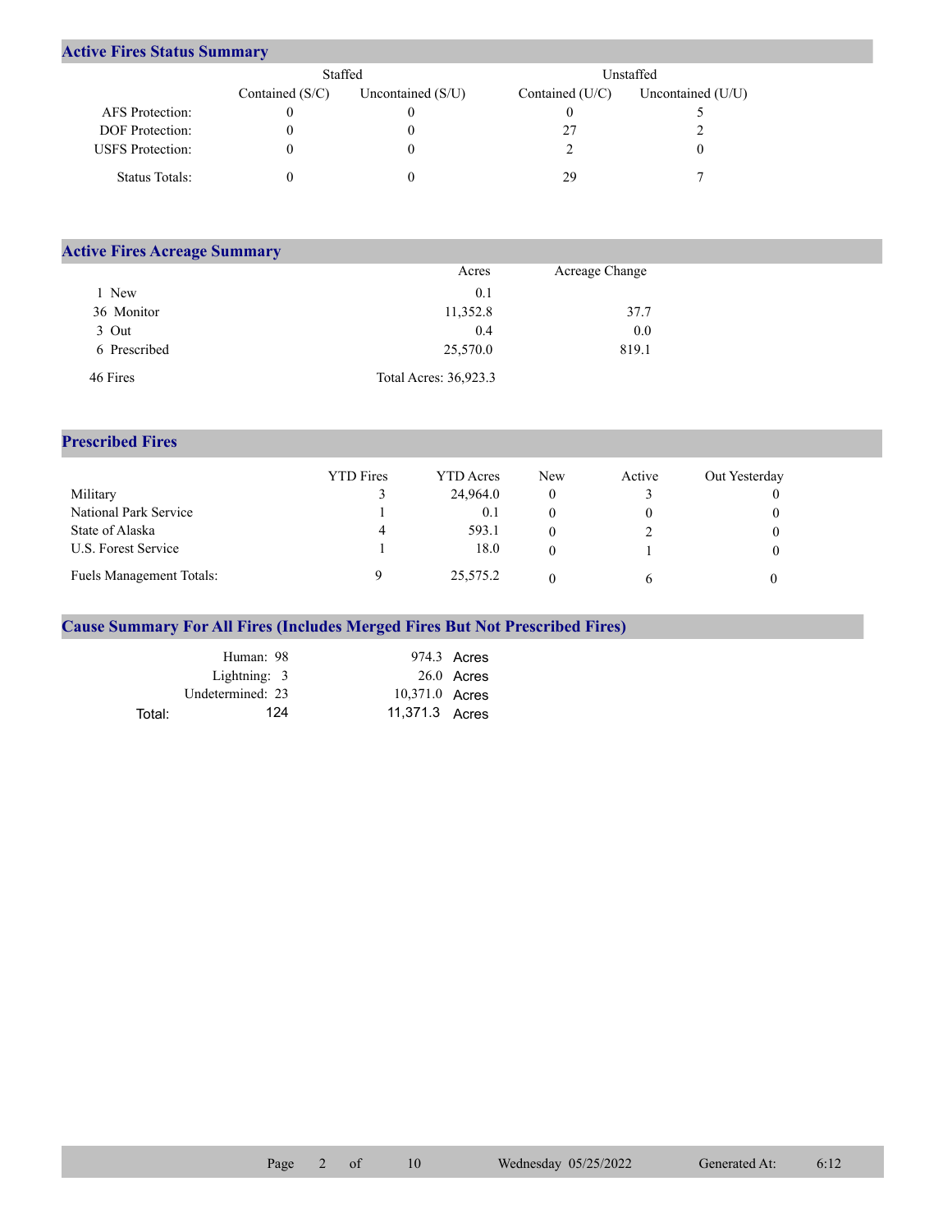## **Active Fires Status Summary**

|                         | Staffed           |                     | Unstaffed       |                     |  |
|-------------------------|-------------------|---------------------|-----------------|---------------------|--|
|                         | Contained $(S/C)$ | Uncontained $(S/U)$ | Contained (U/C) | Uncontained $(U/U)$ |  |
| AFS Protection:         |                   |                     |                 |                     |  |
| <b>DOF</b> Protection:  |                   |                     |                 |                     |  |
| <b>USFS</b> Protection: |                   |                     |                 |                     |  |
| Status Totals:          |                   |                     | 29              |                     |  |

| <b>Active Fires Acreage Summary</b> |                       |                |  |  |  |  |  |
|-------------------------------------|-----------------------|----------------|--|--|--|--|--|
|                                     | Acres                 | Acreage Change |  |  |  |  |  |
| New                                 | 0.1                   |                |  |  |  |  |  |
| 36 Monitor                          | 11,352.8              | 37.7           |  |  |  |  |  |
| 3 Out                               | 0.4                   | 0.0            |  |  |  |  |  |
| 6 Prescribed                        | 25,570.0              | 819.1          |  |  |  |  |  |
| 46 Fires                            | Total Acres: 36,923.3 |                |  |  |  |  |  |

## **Prescribed Fires**

|                          | <b>YTD</b> Fires | YTD Acres | New | Active | Out Yesterday |
|--------------------------|------------------|-----------|-----|--------|---------------|
| Military                 |                  | 24,964.0  |     |        |               |
| National Park Service    |                  | 0.1       |     |        |               |
| State of Alaska          | 4                | 593.1     |     |        |               |
| U.S. Forest Service      |                  | 18.0      |     |        |               |
| Fuels Management Totals: |                  | 25,575.2  |     |        |               |

## **Cause Summary For All Fires (Includes Merged Fires But Not Prescribed Fires)**

|        | Human: 98        |                | 974.3 Acres  |
|--------|------------------|----------------|--------------|
|        | Lightning: 3     |                | $26.0$ Acres |
|        | Undetermined: 23 | 10,371.0 Acres |              |
| Total: | 124              | 11,371.3 Acres |              |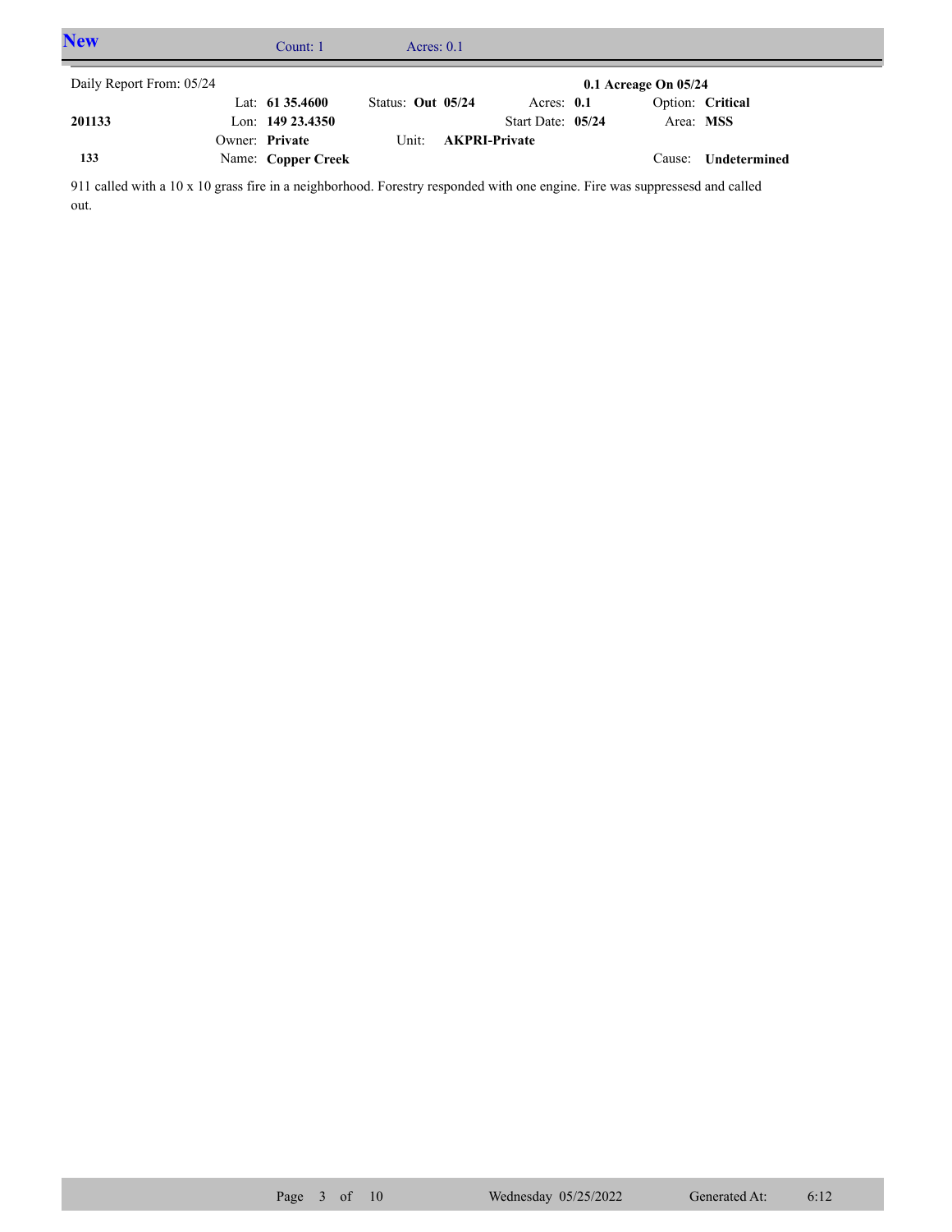| <b>New</b>               | Count: 1            | Acres: $0.1$      |                      |                   |                          |                  |  |
|--------------------------|---------------------|-------------------|----------------------|-------------------|--------------------------|------------------|--|
| Daily Report From: 05/24 |                     |                   |                      |                   | $0.1$ Acreage On $05/24$ |                  |  |
|                          | Lat: $61\,35.4600$  | Status: Out 05/24 |                      | Acres: $0.1$      |                          | Option: Critical |  |
| 201133                   | Lon: $149\,23.4350$ |                   |                      | Start Date: 05/24 | Area: MSS                |                  |  |
|                          | Owner: Private      | Unit:             | <b>AKPRI-Private</b> |                   |                          |                  |  |
| 133                      | Name: Copper Creek  |                   |                      |                   | Cause:                   | Undetermined     |  |

911 called with a 10 x 10 grass fire in a neighborhood. Forestry responded with one engine. Fire was suppressesd and called out.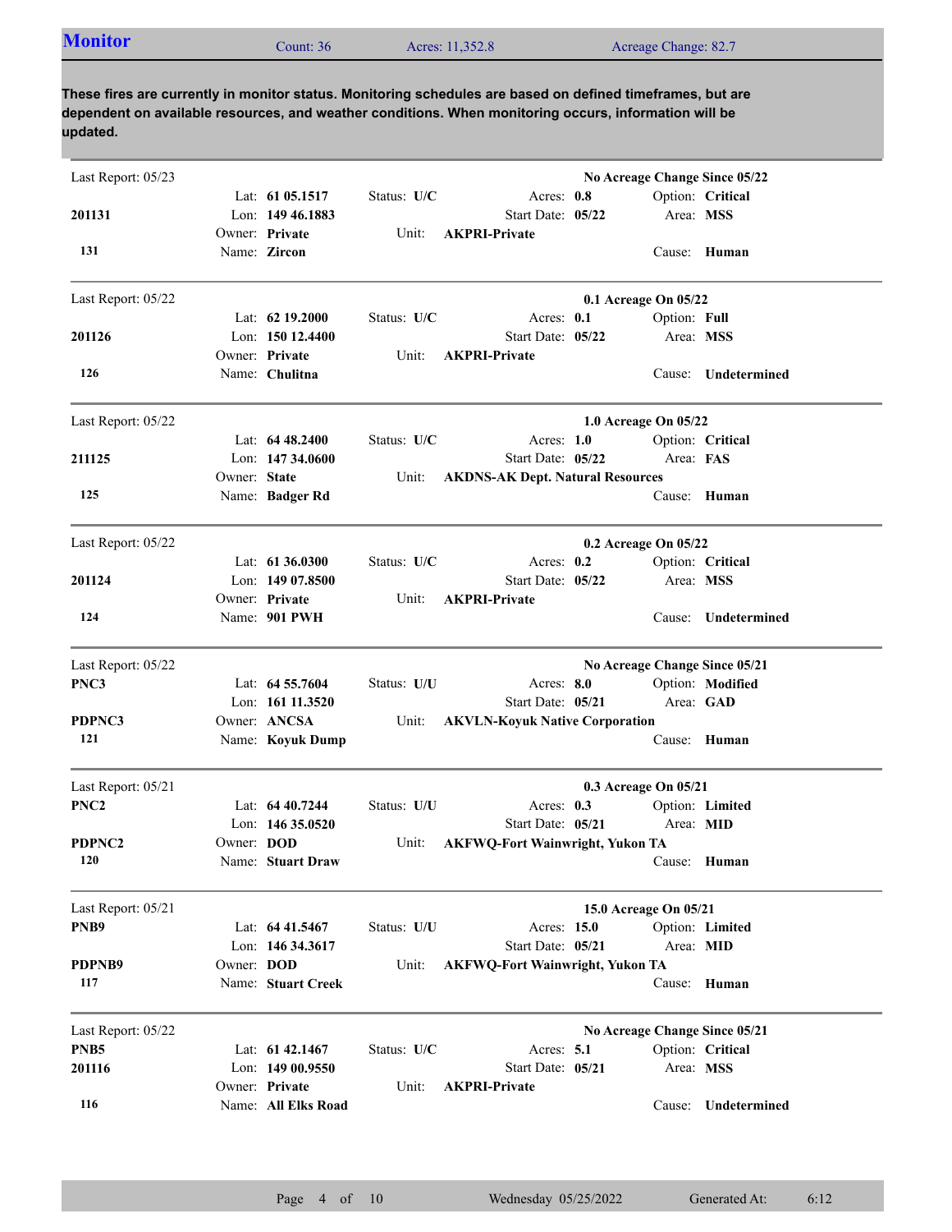| <b>Monitor</b><br>Count: $36$ | Acres: 11,352.8 | Acreage Change: 82.7 |  |
|-------------------------------|-----------------|----------------------|--|
|-------------------------------|-----------------|----------------------|--|

| Last Report: 05/23 |              |                                    |             |                                           |                       |              | No Acreage Change Since 05/22 |
|--------------------|--------------|------------------------------------|-------------|-------------------------------------------|-----------------------|--------------|-------------------------------|
|                    |              | Lat: 61 05.1517                    | Status: U/C | Acres: 0.8                                |                       |              | Option: Critical              |
| 201131             |              | Lon: 149 46.1883                   |             | Start Date: 05/22                         |                       | Area: MSS    |                               |
|                    |              | Owner: Private                     | Unit:       | <b>AKPRI-Private</b>                      |                       |              |                               |
| 131                |              | Name: Zircon                       |             |                                           |                       |              | Cause: Human                  |
| Last Report: 05/22 |              |                                    |             |                                           | 0.1 Acreage On 05/22  |              |                               |
|                    |              | Lat: $62$ 19.2000                  | Status: U/C | Acres: $0.1$                              |                       | Option: Full |                               |
| 201126             |              | Lon: $15012.4400$                  |             | Start Date: 05/22                         |                       | Area: MSS    |                               |
|                    |              | Owner: Private                     | Unit:       | <b>AKPRI-Private</b>                      |                       |              |                               |
| 126                |              | Name: Chulitna                     |             |                                           |                       | Cause:       | Undetermined                  |
| Last Report: 05/22 |              |                                    |             |                                           | 1.0 Acreage On 05/22  |              |                               |
|                    |              | Lat: $6448.2400$                   | Status: U/C | Acres: $1.0$                              |                       |              | Option: Critical              |
| 211125             |              | Lon: $14734.0600$                  |             | Start Date: 05/22                         |                       | Area: FAS    |                               |
|                    | Owner: State |                                    | Unit:       | <b>AKDNS-AK Dept. Natural Resources</b>   |                       |              |                               |
| 125                |              | Name: Badger Rd                    |             |                                           |                       |              | Cause: Human                  |
| Last Report: 05/22 |              |                                    |             |                                           | 0.2 Acreage On 05/22  |              |                               |
|                    |              | Lat: $61\,36.0300$                 | Status: U/C | Acres: 0.2                                |                       |              | Option: Critical              |
| 201124             |              | Lon: $14907.8500$                  |             | Start Date: 05/22                         |                       | Area: MSS    |                               |
|                    |              | Owner: Private                     | Unit:       | <b>AKPRI-Private</b>                      |                       |              |                               |
| 124                |              | Name: 901 PWH                      |             |                                           |                       | Cause:       | Undetermined                  |
| Last Report: 05/22 |              |                                    |             |                                           |                       |              | No Acreage Change Since 05/21 |
| PNC3               |              | Lat: 64 55.7604                    | Status: U/U | Acres: 8.0                                |                       |              | Option: Modified              |
|                    |              | Lon: 161 11.3520                   |             | Start Date: 05/21                         |                       |              | Area: GAD                     |
| PDPNC3             |              | Owner: ANCSA                       | Unit:       | <b>AKVLN-Koyuk Native Corporation</b>     |                       |              |                               |
| 121                |              | Name: Koyuk Dump                   |             |                                           |                       |              | Cause: Human                  |
| Last Report: 05/21 |              |                                    |             |                                           | 0.3 Acreage On 05/21  |              |                               |
| PNC <sub>2</sub>   |              | Lat: $6440.7244$                   | Status: U/U | Acres: $0.3$                              |                       |              | Option: Limited               |
|                    |              | Lon: $14635.0520$                  |             | Start Date: 05/21                         |                       | Area: MID    |                               |
| PDPNC2             | Owner: DOD   |                                    | Unit:       | <b>AKFWQ-Fort Wainwright, Yukon TA</b>    |                       |              |                               |
| 120                |              | Name: Stuart Draw                  |             |                                           |                       |              | Cause: Human                  |
| Last Report: 05/21 |              |                                    |             |                                           | 15.0 Acreage On 05/21 |              |                               |
| PNB9               |              | Lat: 64 41.5467                    | Status: U/U | Acres: 15.0                               |                       |              | Option: Limited               |
|                    |              | Lon: 146 34.3617                   |             | Start Date: 05/21                         |                       | Area: MID    |                               |
| PDPNB9             | Owner: DOD   |                                    | Unit:       | <b>AKFWQ-Fort Wainwright, Yukon TA</b>    |                       |              |                               |
| 117                |              | Name: Stuart Creek                 |             |                                           |                       |              | Cause: Human                  |
| Last Report: 05/22 |              |                                    |             |                                           |                       |              | No Acreage Change Since 05/21 |
| PNB <sub>5</sub>   |              | Lat: 61 42.1467                    | Status: U/C | Acres: $5.1$                              |                       |              | Option: Critical              |
| 201116             |              | Lon: 149 00.9550<br>Owner: Private | Unit:       | Start Date: 05/21<br><b>AKPRI-Private</b> |                       | Area: MSS    |                               |
| 116                |              | Name: All Elks Road                |             |                                           |                       | Cause:       | Undetermined                  |
|                    |              |                                    |             |                                           |                       |              |                               |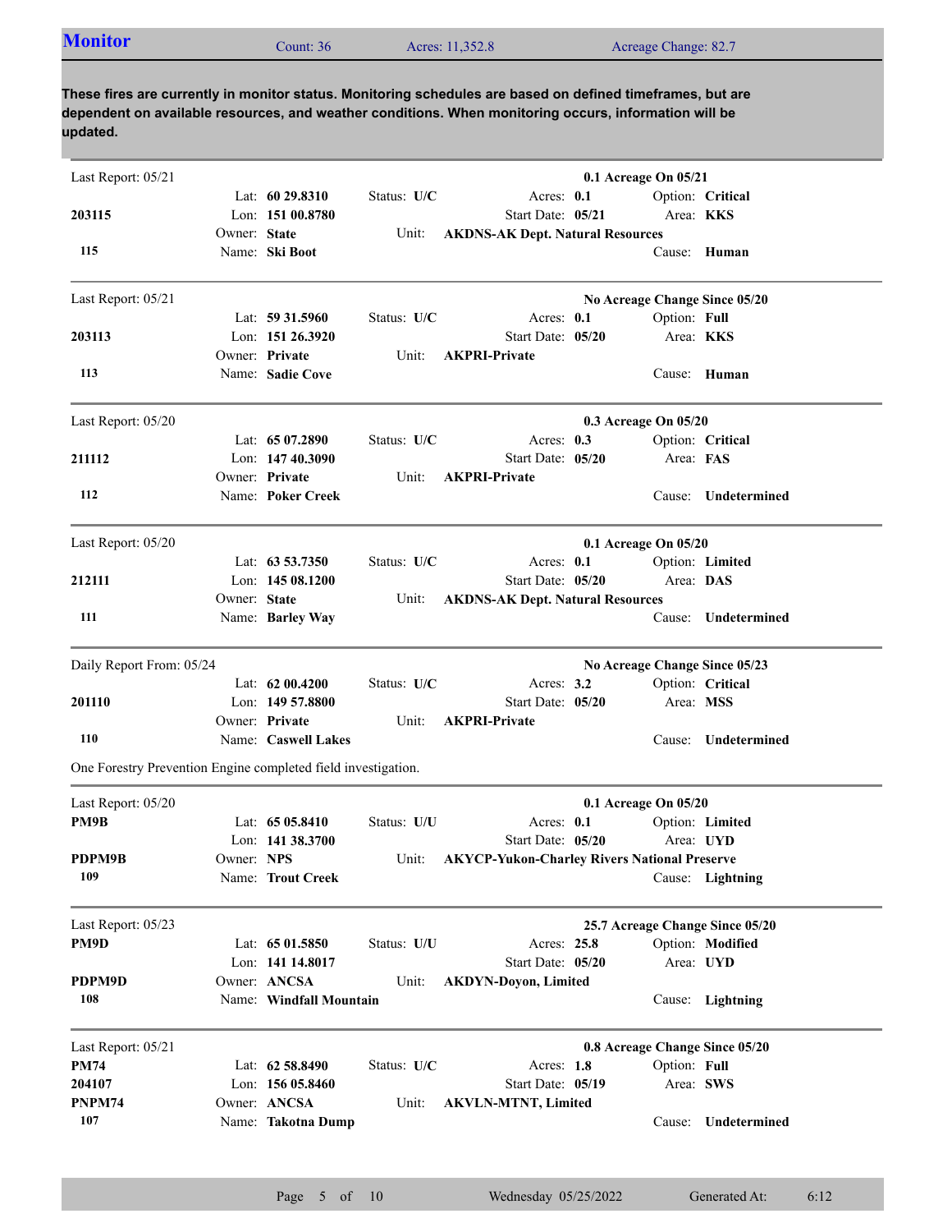| <b>Monitor</b> | Count: 36 | Acres: 11,352.8 | Acreage Change: 82.7 |
|----------------|-----------|-----------------|----------------------|
|                |           |                 |                      |

| Last Report: 05/21                                            |              |                         |             |                                                     | 0.1 Acreage On 05/21 |              |                                 |
|---------------------------------------------------------------|--------------|-------------------------|-------------|-----------------------------------------------------|----------------------|--------------|---------------------------------|
|                                                               |              | Lat: $6029.8310$        | Status: U/C | Acres: 0.1                                          |                      |              | Option: Critical                |
| 203115                                                        |              | Lon: 151 00.8780        |             | Start Date: 05/21                                   |                      | Area: KKS    |                                 |
|                                                               | Owner: State |                         | Unit:       | <b>AKDNS-AK Dept. Natural Resources</b>             |                      |              |                                 |
| 115                                                           |              | Name: Ski Boot          |             |                                                     |                      |              | Cause: Human                    |
| Last Report: 05/21                                            |              |                         |             |                                                     |                      |              | No Acreage Change Since 05/20   |
|                                                               |              | Lat: $59\,31.5960$      | Status: U/C | Acres: 0.1                                          |                      | Option: Full |                                 |
| 203113                                                        |              | Lon: $151\,26.3920$     |             | Start Date: 05/20                                   |                      | Area: KKS    |                                 |
|                                                               |              | Owner: Private          | Unit:       | <b>AKPRI-Private</b>                                |                      |              |                                 |
| 113                                                           |              | Name: Sadie Cove        |             |                                                     |                      |              | Cause: Human                    |
| Last Report: 05/20                                            |              |                         |             |                                                     | 0.3 Acreage On 05/20 |              |                                 |
|                                                               |              | Lat: $6507.2890$        | Status: U/C | Acres: 0.3                                          |                      |              | Option: Critical                |
| 211112                                                        |              | Lon: 147 40.3090        |             | Start Date: 05/20                                   |                      | Area: FAS    |                                 |
|                                                               |              | Owner: Private          | Unit:       | <b>AKPRI-Private</b>                                |                      |              |                                 |
| 112                                                           |              | Name: Poker Creek       |             |                                                     |                      |              | Cause: Undetermined             |
| Last Report: 05/20                                            |              |                         |             |                                                     | 0.1 Acreage On 05/20 |              |                                 |
|                                                               |              | Lat: $63\,53.7350$      | Status: U/C | Acres: 0.1                                          |                      |              | Option: Limited                 |
| 212111                                                        |              | Lon: 145 08.1200        |             | Start Date: 05/20                                   |                      | Area: DAS    |                                 |
|                                                               | Owner: State |                         | Unit:       | <b>AKDNS-AK Dept. Natural Resources</b>             |                      |              |                                 |
| 111                                                           |              | Name: Barley Way        |             |                                                     |                      | Cause:       | Undetermined                    |
| Daily Report From: 05/24                                      |              |                         |             |                                                     |                      |              | No Acreage Change Since 05/23   |
|                                                               |              | Lat: 62 00.4200         | Status: U/C | Acres: $3.2$                                        |                      |              | Option: Critical                |
| 201110                                                        |              | Lon: $14957.8800$       |             | Start Date: 05/20                                   |                      | Area: MSS    |                                 |
|                                                               |              | Owner: Private          | Unit:       | <b>AKPRI-Private</b>                                |                      |              |                                 |
| 110                                                           |              | Name: Caswell Lakes     |             |                                                     |                      | Cause:       | Undetermined                    |
| One Forestry Prevention Engine completed field investigation. |              |                         |             |                                                     |                      |              |                                 |
| Last Report: 05/20                                            |              |                         |             |                                                     | 0.1 Acreage On 05/20 |              |                                 |
| PM9B                                                          |              | Lat: $6505.8410$        | Status: U/U | Acres: 0.1                                          |                      |              | Option: Limited                 |
|                                                               |              | Lon: 141 38.3700        |             | Start Date: 05/20                                   |                      |              | Area: UYD                       |
| PDPM9B                                                        | Owner: NPS   |                         | Unit:       | <b>AKYCP-Yukon-Charley Rivers National Preserve</b> |                      |              |                                 |
| 109                                                           |              | Name: Trout Creek       |             |                                                     |                      |              | Cause: Lightning                |
| Last Report: 05/23                                            |              |                         |             |                                                     |                      |              | 25.7 Acreage Change Since 05/20 |
| PM9D                                                          |              | Lat: 65 01.5850         | Status: U/U | Acres: 25.8                                         |                      |              | Option: Modified                |
|                                                               |              | Lon: 141 14.8017        |             | Start Date: 05/20                                   |                      |              | Area: UYD                       |
| PDPM9D                                                        |              | Owner: ANCSA            | Unit:       | <b>AKDYN-Doyon, Limited</b>                         |                      |              |                                 |
| 108                                                           |              | Name: Windfall Mountain |             |                                                     |                      |              | Cause: Lightning                |
| Last Report: 05/21                                            |              |                         |             |                                                     |                      |              | 0.8 Acreage Change Since 05/20  |
| <b>PM74</b>                                                   |              | Lat: 62 58.8490         | Status: U/C | Acres: 1.8                                          |                      | Option: Full |                                 |
| 204107                                                        |              | Lon: 156 05.8460        |             | Start Date: 05/19                                   |                      | Area: SWS    |                                 |
| PNPM74                                                        |              | Owner: ANCSA            | Unit:       | <b>AKVLN-MTNT, Limited</b>                          |                      |              |                                 |
| 107                                                           |              | Name: Takotna Dump      |             |                                                     |                      | Cause:       | Undetermined                    |
|                                                               |              |                         |             |                                                     |                      |              |                                 |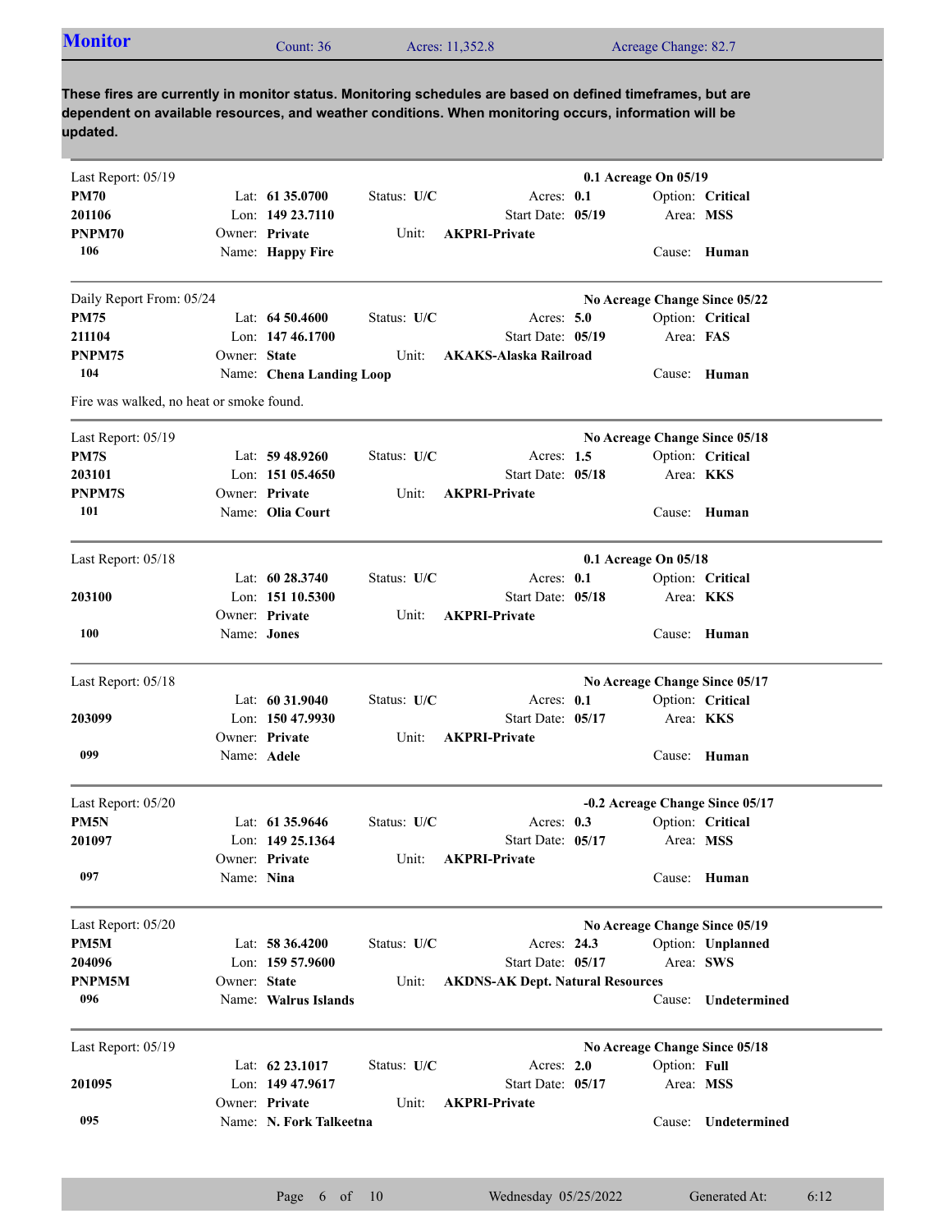| <b>Monitor</b>                                                                                             | Count: $36$ | Acres: 11.352.8 | Acreage Change: 82.7 |  |  |  |  |  |
|------------------------------------------------------------------------------------------------------------|-------------|-----------------|----------------------|--|--|--|--|--|
|                                                                                                            |             |                 |                      |  |  |  |  |  |
| These fires are currently in monitor status. Monitoring schedules are based on defined timeframes, but are |             |                 |                      |  |  |  |  |  |

**dependent on available resources, and weather conditions. When monitoring occurs, information will be updated.**

| Last Report: 05/19                       |                    |                          |               |                                         | 0.1 Acreage On 05/19 |              |                                 |
|------------------------------------------|--------------------|--------------------------|---------------|-----------------------------------------|----------------------|--------------|---------------------------------|
| <b>PM70</b>                              |                    | Lat: 61 35.0700          | Status: U/C   | Acres: 0.1                              |                      |              | Option: Critical                |
| 201106                                   |                    | Lon: 149 23.7110         |               | Start Date: 05/19                       |                      |              | Area: MSS                       |
| PNPM70                                   |                    | Owner: Private           | Unit:         | <b>AKPRI-Private</b>                    |                      |              |                                 |
| 106                                      |                    | Name: Happy Fire         |               |                                         |                      |              | Cause: Human                    |
| Daily Report From: 05/24                 |                    |                          |               |                                         |                      |              | No Acreage Change Since 05/22   |
| <b>PM75</b>                              |                    | Lat: $64\,50.4600$       | Status: U/C   | Acres: 5.0                              |                      |              | Option: Critical                |
| 211104                                   |                    | Lon: 147 46.1700         |               | Start Date: 05/19                       |                      | Area: FAS    |                                 |
| PNPM75                                   | Owner: State       |                          | Unit:         | <b>AKAKS-Alaska Railroad</b>            |                      |              |                                 |
| 104                                      |                    | Name: Chena Landing Loop |               |                                         |                      |              | Cause: Human                    |
| Fire was walked, no heat or smoke found. |                    |                          |               |                                         |                      |              |                                 |
| Last Report: 05/19                       |                    |                          |               |                                         |                      |              | No Acreage Change Since 05/18   |
| PM7S                                     |                    | Lat: $59\,48.9260$       | Status: U/C   | Acres: 1.5                              |                      |              | Option: Critical                |
| 203101                                   |                    | Lon: $15105.4650$        |               | Start Date: 05/18                       |                      | Area: KKS    |                                 |
| <b>PNPM7S</b>                            |                    | Owner: Private           | Unit:         | <b>AKPRI-Private</b>                    |                      |              |                                 |
| 101                                      |                    | Name: Olia Court         |               |                                         |                      |              | Cause: Human                    |
| Last Report: 05/18                       |                    |                          |               |                                         | 0.1 Acreage On 05/18 |              |                                 |
|                                          |                    | Lat: 60 28.3740          | Status: $U/C$ | Acres: 0.1                              |                      |              | Option: Critical                |
| 203100                                   |                    | Lon: 151 10.5300         |               | Start Date: 05/18                       |                      |              | Area: KKS                       |
|                                          |                    | Owner: Private           | Unit:         | <b>AKPRI-Private</b>                    |                      |              |                                 |
| 100                                      | Name: <b>Jones</b> |                          |               |                                         |                      |              | Cause: Human                    |
|                                          |                    |                          |               |                                         |                      |              |                                 |
| Last Report: 05/18                       |                    |                          |               |                                         |                      |              | No Acreage Change Since 05/17   |
|                                          |                    | Lat: $60\,31.9040$       | Status: U/C   | Acres: 0.1                              |                      |              | Option: Critical                |
| 203099                                   |                    | Lon: 150 47.9930         |               | Start Date: 05/17                       |                      |              | Area: KKS                       |
|                                          |                    | Owner: Private           | Unit:         | <b>AKPRI-Private</b>                    |                      |              |                                 |
| 099                                      | Name: Adele        |                          |               |                                         |                      |              | Cause: Human                    |
| Last Report: 05/20                       |                    |                          |               |                                         |                      |              | -0.2 Acreage Change Since 05/17 |
| PM <sub>5N</sub>                         |                    | Lat: $61\,35.9646$       | Status: U/C   | Acres: 0.3                              |                      |              | Option: Critical                |
| 201097                                   |                    | Lon: 149 25.1364         |               | Start Date: 05/17                       |                      |              | Area: MSS                       |
|                                          |                    | Owner: Private           | Unit:         | <b>AKPRI-Private</b>                    |                      |              |                                 |
| 097                                      | Name: Nina         |                          |               |                                         |                      |              | Cause: Human                    |
| Last Report: 05/20                       |                    |                          |               |                                         |                      |              | No Acreage Change Since 05/19   |
| PM5M                                     |                    | Lat: 58 36.4200          | Status: U/C   | Acres: 24.3                             |                      |              | Option: Unplanned               |
| 204096                                   |                    | Lon: 159 57.9600         |               | Start Date: 05/17                       |                      |              | Area: SWS                       |
| PNPM5M                                   | Owner: State       |                          | Unit:         | <b>AKDNS-AK Dept. Natural Resources</b> |                      |              |                                 |
| 096                                      |                    | Name: Walrus Islands     |               |                                         |                      | Cause:       | Undetermined                    |
| Last Report: 05/19                       |                    |                          |               |                                         |                      |              |                                 |
|                                          |                    | Lat: 62 23.1017          | Status: U/C   | Acres: 2.0                              |                      | Option: Full | No Acreage Change Since 05/18   |
| 201095                                   |                    | Lon: 149 47.9617         |               | Start Date: 05/17                       |                      |              | Area: MSS                       |
|                                          |                    | Owner: Private           | Unit:         | <b>AKPRI-Private</b>                    |                      |              |                                 |
| 095                                      |                    | Name: N. Fork Talkeetna  |               |                                         |                      | Cause:       | Undetermined                    |
|                                          |                    |                          |               |                                         |                      |              |                                 |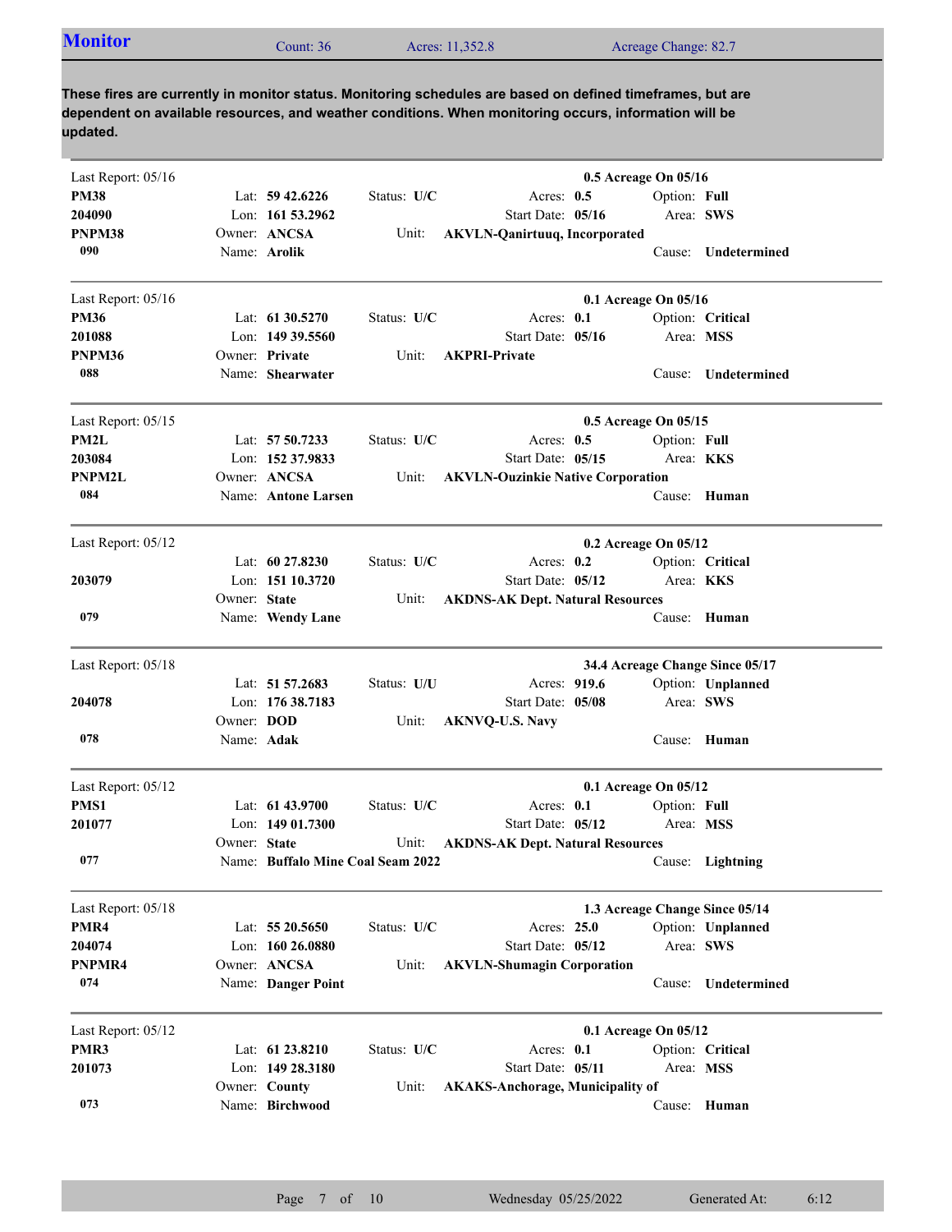| Last Report: 05/16 |                   |                                   |             |                                          | 0.5 Acreage On 05/16            |                     |
|--------------------|-------------------|-----------------------------------|-------------|------------------------------------------|---------------------------------|---------------------|
| <b>PM38</b>        |                   | Lat: $59\,42.6226$                | Status: U/C | Acres: $0.5$                             | Option: Full                    |                     |
| 204090             |                   | Lon: 161 53.2962                  |             | Start Date: 05/16                        | Area: SWS                       |                     |
| PNPM38             |                   | Owner: ANCSA                      | Unit:       | <b>AKVLN-Qanirtuuq, Incorporated</b>     |                                 |                     |
| 090                |                   | Name: Arolik                      |             |                                          |                                 | Cause: Undetermined |
| Last Report: 05/16 |                   |                                   |             |                                          | 0.1 Acreage On 05/16            |                     |
| <b>PM36</b>        |                   | Lat: $61\,30.5270$                | Status: U/C | Acres: 0.1                               |                                 | Option: Critical    |
| 201088             |                   | Lon: 149 39.5560                  |             | Start Date: 05/16                        | Area: MSS                       |                     |
| PNPM36             |                   | Owner: Private                    | Unit:       | <b>AKPRI-Private</b>                     |                                 |                     |
| 088                |                   | Name: Shearwater                  |             |                                          | Cause:                          | Undetermined        |
| Last Report: 05/15 |                   |                                   |             |                                          | 0.5 Acreage On 05/15            |                     |
| PM2L               |                   | Lat: 57 50.7233                   | Status: U/C | Acres: $0.5$                             | Option: Full                    |                     |
| 203084             |                   | Lon: 152 37.9833                  |             | Start Date: 05/15                        | Area: <b>KKS</b>                |                     |
| PNPM2L             |                   | Owner: ANCSA                      | Unit:       | <b>AKVLN-Ouzinkie Native Corporation</b> |                                 |                     |
| 084                |                   | Name: Antone Larsen               |             |                                          |                                 | Cause: Human        |
| Last Report: 05/12 |                   |                                   |             |                                          | 0.2 Acreage On 05/12            |                     |
|                    |                   | Lat: 60 27.8230                   | Status: U/C | Acres: $0.2$                             |                                 | Option: Critical    |
| 203079             |                   | Lon: 151 10.3720                  |             | Start Date: 05/12                        | Area: KKS                       |                     |
|                    | Owner: State      |                                   | Unit:       | <b>AKDNS-AK Dept. Natural Resources</b>  |                                 |                     |
| 079                |                   | Name: Wendy Lane                  |             |                                          | Cause:                          | Human               |
| Last Report: 05/18 |                   |                                   |             |                                          | 34.4 Acreage Change Since 05/17 |                     |
|                    |                   | Lat: 51 57.2683                   | Status: U/U | Acres: 919.6                             |                                 | Option: Unplanned   |
| 204078             |                   | Lon: 176 38.7183                  |             | Start Date: 05/08                        | Area: SWS                       |                     |
|                    | Owner: <b>DOD</b> |                                   | Unit:       | <b>AKNVQ-U.S. Navy</b>                   |                                 |                     |
| 078                | Name: Adak        |                                   |             |                                          |                                 | Cause: Human        |
| Last Report: 05/12 |                   |                                   |             |                                          | 0.1 Acreage On 05/12            |                     |
| PMS1               |                   | Lat: 61 43.9700                   | Status: U/C | Acres: $0.1$                             | Option: Full                    |                     |
| 201077             |                   | Lon: $14901.7300$                 |             | Start Date: 05/12                        | Area: MSS                       |                     |
|                    | Owner: State      |                                   | Unit:       | <b>AKDNS-AK Dept. Natural Resources</b>  |                                 |                     |
| 077                |                   | Name: Buffalo Mine Coal Seam 2022 |             |                                          |                                 | Cause: Lightning    |
| Last Report: 05/18 |                   |                                   |             |                                          | 1.3 Acreage Change Since 05/14  |                     |
| PMR4               |                   | Lat: 55 20.5650                   | Status: U/C | Acres: 25.0                              |                                 | Option: Unplanned   |
| 204074             |                   | Lon: 160 26.0880                  |             | Start Date: 05/12                        | Area: SWS                       |                     |
| PNPMR4             |                   | Owner: ANCSA                      | Unit:       | <b>AKVLN-Shumagin Corporation</b>        |                                 |                     |
| 074                |                   | Name: Danger Point                |             |                                          | Cause:                          | Undetermined        |
| Last Report: 05/12 |                   |                                   |             |                                          | 0.1 Acreage On 05/12            |                     |
| PMR3               |                   | Lat: 61 23.8210                   | Status: U/C | Acres: 0.1                               |                                 | Option: Critical    |
| 201073             |                   | Lon: 149 28.3180                  |             | Start Date: 05/11                        | Area: MSS                       |                     |
|                    |                   | Owner: County                     | Unit:       | <b>AKAKS-Anchorage, Municipality of</b>  |                                 |                     |
| 073                |                   | Name: Birchwood                   |             |                                          |                                 | Cause: Human        |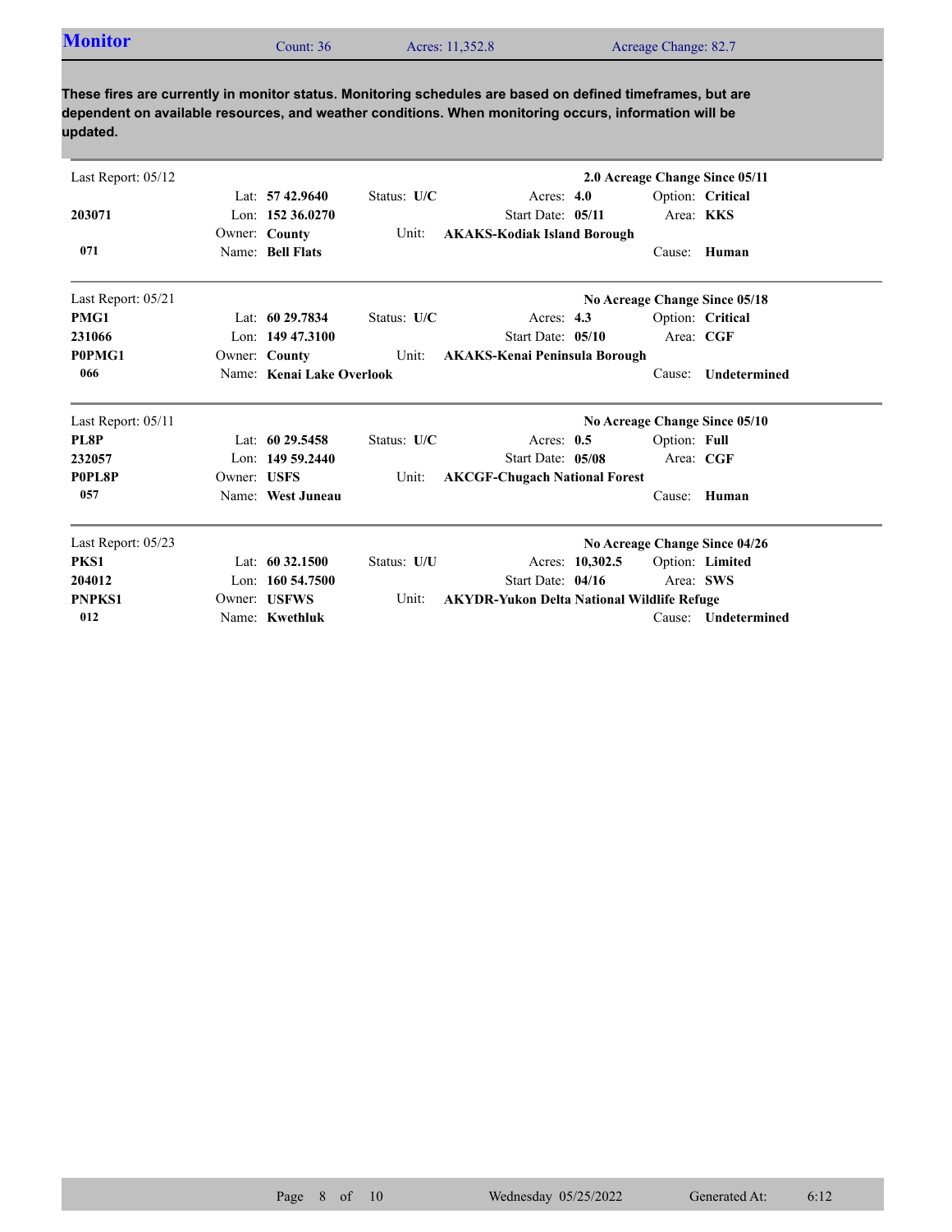| <b>Monitor</b> | Count: 36 | Acres: 11,352.8 | Acreage Change: 82.7 |
|----------------|-----------|-----------------|----------------------|
|                |           |                 |                      |

| Last Report: 05/12 |             |                           |             |                                                   |                 |              | 2.0 Acreage Change Since 05/11 |
|--------------------|-------------|---------------------------|-------------|---------------------------------------------------|-----------------|--------------|--------------------------------|
|                    |             | Lat: $57\,42.9640$        | Status: U/C | Acres: $4.0$                                      |                 |              | Option: Critical               |
| 203071             |             | Lon: $152\,36.0270$       |             | Start Date: 05/11                                 |                 |              | Area: KKS                      |
|                    |             | Owner: County             | Unit:       | <b>AKAKS-Kodiak Island Borough</b>                |                 |              |                                |
| 071                |             | Name: Bell Flats          |             |                                                   |                 | Cause:       | Human                          |
| Last Report: 05/21 |             |                           |             |                                                   |                 |              | No Acreage Change Since 05/18  |
| PMG1               |             | Lat: $6029.7834$          | Status: U/C | Acres: $4.3$                                      |                 |              | Option: Critical               |
| 231066             |             | Lon: $14947.3100$         |             | Start Date: 05/10                                 |                 |              | Area: CGF                      |
| P0PMG1             |             | Owner: County             | Unit:       | <b>AKAKS-Kenai Peninsula Borough</b>              |                 |              |                                |
| 066                |             | Name: Kenai Lake Overlook |             |                                                   |                 | Cause:       | Undetermined                   |
| Last Report: 05/11 |             |                           |             |                                                   |                 |              | No Acreage Change Since 05/10  |
| PL8P               |             | Lat: $6029.5458$          | Status: U/C | Acres: $0.5$                                      |                 | Option: Full |                                |
| 232057             |             | Lon: $14959.2440$         |             | Start Date: 05/08                                 |                 |              | Area: CGF                      |
| P0PL8P             | Owner: USFS |                           | Unit:       | <b>AKCGF-Chugach National Forest</b>              |                 |              |                                |
| 057                |             | Name: West Juneau         |             |                                                   |                 | Cause:       | Human                          |
| Last Report: 05/23 |             |                           |             |                                                   |                 |              | No Acreage Change Since 04/26  |
| PKS1               |             | Lat: $60\,32.1500$        | Status: U/U |                                                   | Acres: 10,302.5 |              | Option: Limited                |
| 204012             |             | Lon: 160 54.7500          |             | Start Date: 04/16                                 |                 |              | Area: SWS                      |
| <b>PNPKS1</b>      |             | Owner: USFWS              | Unit:       | <b>AKYDR-Yukon Delta National Wildlife Refuge</b> |                 |              |                                |
| 012                |             | Name: Kwethluk            |             |                                                   |                 | Cause:       | <b>Undetermined</b>            |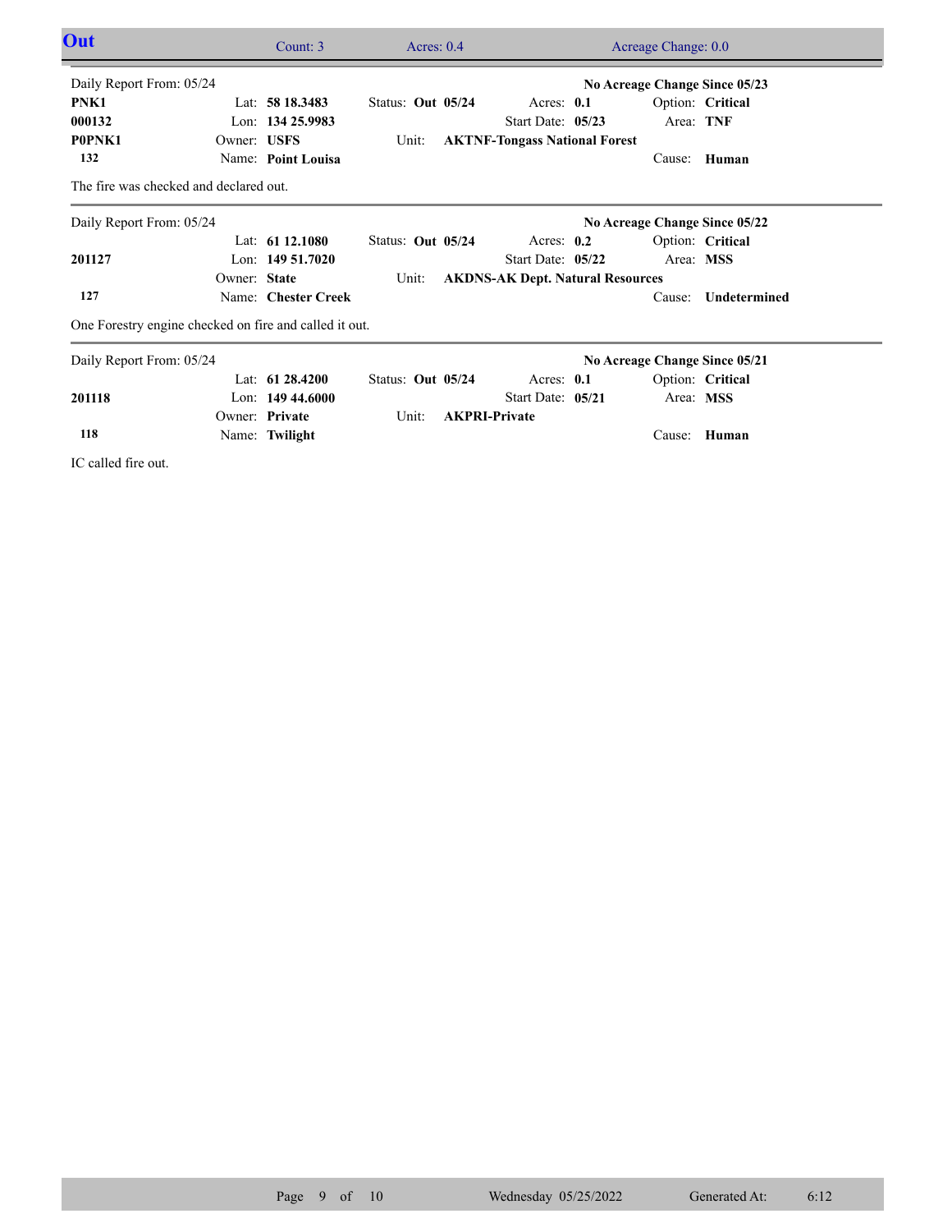| Out                                    |              | Count: 3                                               | Acres: $0.4$      |                                         | Acreage Change: 0.0           |                  |  |
|----------------------------------------|--------------|--------------------------------------------------------|-------------------|-----------------------------------------|-------------------------------|------------------|--|
| Daily Report From: 05/24               |              |                                                        |                   |                                         | No Acreage Change Since 05/23 |                  |  |
| PNK1                                   |              | Lat: $5818.3483$                                       | Status: Out 05/24 | Acres: $0.1$                            |                               | Option: Critical |  |
| 000132                                 |              | Lon: 134 25.9983                                       |                   | Start Date: 05/23                       | Area: TNF                     |                  |  |
| P0PNK1                                 | Owner: USFS  |                                                        | Unit:             | <b>AKTNF-Tongass National Forest</b>    |                               |                  |  |
| 132                                    |              | Name: Point Louisa                                     |                   |                                         | Cause:                        | Human            |  |
| The fire was checked and declared out. |              |                                                        |                   |                                         |                               |                  |  |
| Daily Report From: 05/24               |              |                                                        |                   |                                         | No Acreage Change Since 05/22 |                  |  |
|                                        |              | Lat: $6112.1080$                                       | Status: Out 05/24 | Acres: $0.2$                            |                               | Option: Critical |  |
| 201127                                 |              | Lon: $14951.7020$                                      |                   | Start Date: 05/22                       | Area: MSS                     |                  |  |
|                                        | Owner: State |                                                        | Unit:             | <b>AKDNS-AK Dept. Natural Resources</b> |                               |                  |  |
| 127                                    |              | Name: Chester Creek                                    |                   |                                         | Cause:                        | Undetermined     |  |
|                                        |              | One Forestry engine checked on fire and called it out. |                   |                                         |                               |                  |  |
| Daily Report From: 05/24               |              |                                                        |                   |                                         | No Acreage Change Since 05/21 |                  |  |
|                                        |              | Lat: $6128.4200$                                       | Status: Out 05/24 | Acres: 0.1                              |                               | Option: Critical |  |
| 201118                                 |              | Lon: $14944.6000$                                      |                   | Start Date: 05/21                       | Area: MSS                     |                  |  |
|                                        |              | Owner: Private                                         | Unit:             | <b>AKPRI-Private</b>                    |                               |                  |  |
| 118                                    |              | Name: Twilight                                         |                   |                                         |                               | Cause: Human     |  |

IC called fire out.